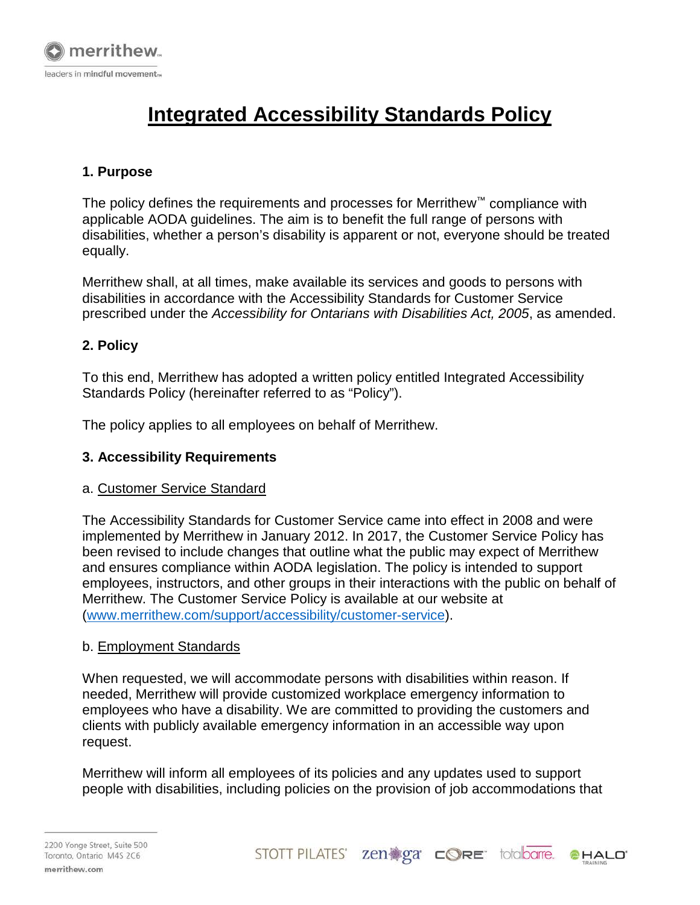

# **Integrated Accessibility Standards Policy**

## **1. Purpose**

The policy defines the requirements and processes for Merrithew™ compliance with applicable AODA guidelines. The aim is to benefit the full range of persons with disabilities, whether a person's disability is apparent or not, everyone should be treated equally.

Merrithew shall, at all times, make available its services and goods to persons with disabilities in accordance with the Accessibility Standards for Customer Service prescribed under the *Accessibility for Ontarians with Disabilities Act, 2005*, as amended.

### **2. Policy**

To this end, Merrithew has adopted a written policy entitled Integrated Accessibility Standards Policy (hereinafter referred to as "Policy").

The policy applies to all employees on behalf of Merrithew.

### **3. Accessibility Requirements**

### a. Customer Service Standard

The Accessibility Standards for Customer Service came into effect in 2008 and were implemented by Merrithew in January 2012. In 2017, the Customer Service Policy has been revised to include changes that outline what the public may expect of Merrithew and ensures compliance within AODA legislation. The policy is intended to support employees, instructors, and other groups in their interactions with the public on behalf of Merrithew. The Customer Service Policy is available at our website at [\(www.merrithew.com/support/accessibility/customer-service\)](https://www.merrithew.com/support/accessibility/customer-service).

### b. Employment Standards

When requested, we will accommodate persons with disabilities within reason. If needed, Merrithew will provide customized workplace emergency information to employees who have a disability. We are committed to providing the customers and clients with publicly available emergency information in an accessible way upon request.

Merrithew will inform all employees of its policies and any updates used to support people with disabilities, including policies on the provision of job accommodations that

STOTT PILATES' zen  $\mathbb{R}$ ga  $\subset$   $\mathbb{Q}$ re totalbarre. **CHALD**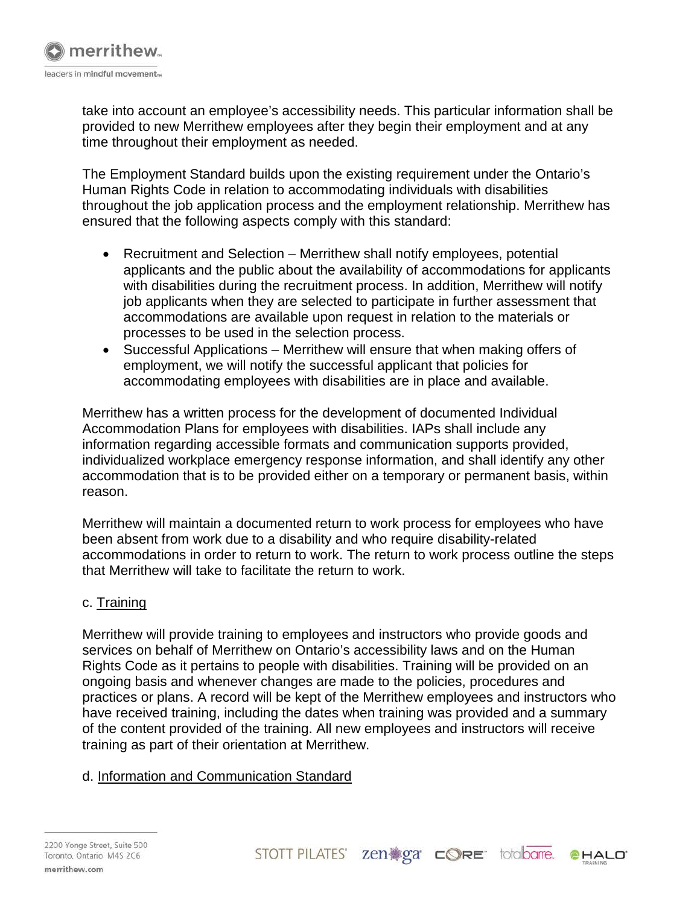

take into account an employee's accessibility needs. This particular information shall be provided to new Merrithew employees after they begin their employment and at any time throughout their employment as needed.

The Employment Standard builds upon the existing requirement under the Ontario's Human Rights Code in relation to accommodating individuals with disabilities throughout the job application process and the employment relationship. Merrithew has ensured that the following aspects comply with this standard:

- Recruitment and Selection Merrithew shall notify employees, potential applicants and the public about the availability of accommodations for applicants with disabilities during the recruitment process. In addition, Merrithew will notify job applicants when they are selected to participate in further assessment that accommodations are available upon request in relation to the materials or processes to be used in the selection process.
- Successful Applications Merrithew will ensure that when making offers of employment, we will notify the successful applicant that policies for accommodating employees with disabilities are in place and available.

Merrithew has a written process for the development of documented Individual Accommodation Plans for employees with disabilities. IAPs shall include any information regarding accessible formats and communication supports provided, individualized workplace emergency response information, and shall identify any other accommodation that is to be provided either on a temporary or permanent basis, within reason.

Merrithew will maintain a documented return to work process for employees who have been absent from work due to a disability and who require disability-related accommodations in order to return to work. The return to work process outline the steps that Merrithew will take to facilitate the return to work.

### c. Training

Merrithew will provide training to employees and instructors who provide goods and services on behalf of Merrithew on Ontario's accessibility laws and on the Human Rights Code as it pertains to people with disabilities. Training will be provided on an ongoing basis and whenever changes are made to the policies, procedures and practices or plans. A record will be kept of the Merrithew employees and instructors who have received training, including the dates when training was provided and a summary of the content provided of the training. All new employees and instructors will receive training as part of their orientation at Merrithew.

### d. Information and Communication Standard